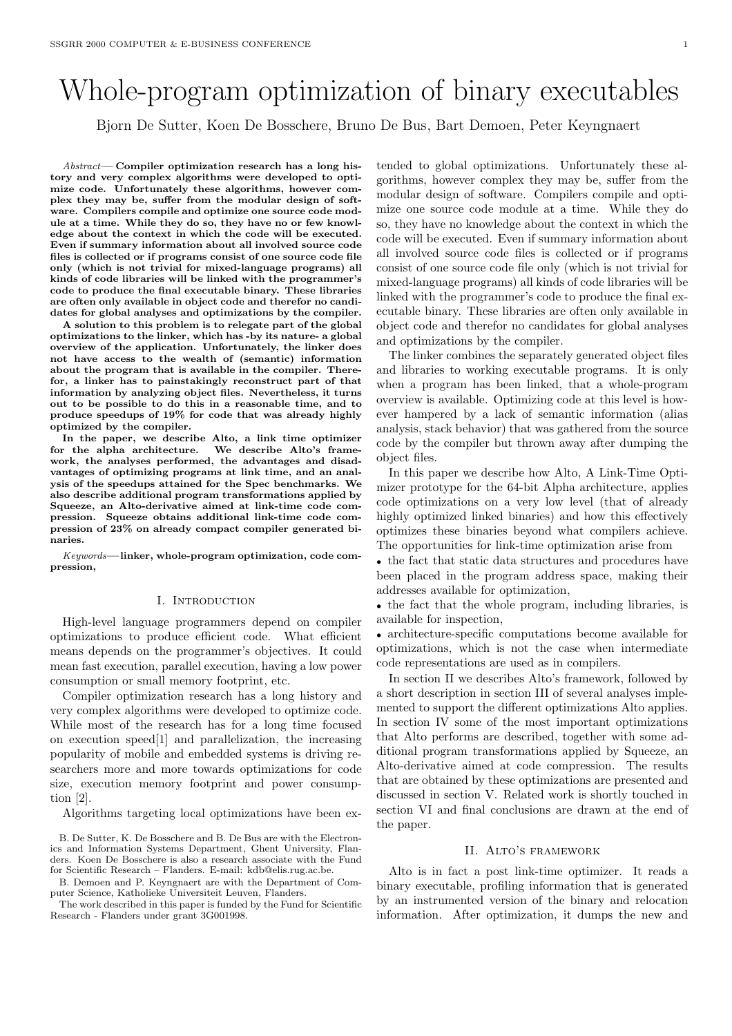# Whole-program optimization of binary executables

Bjorn De Sutter, Koen De Bosschere, Bruno De Bus, Bart Demoen, Peter Keyngnaert

Abstract— Compiler optimization research has a long history and very complex algorithms were developed to optimize code. Unfortunately these algorithms, however complex they may be, suffer from the modular design of software. Compilers compile and optimize one source code module at a time. While they do so, they have no or few knowledge about the context in which the code will be executed. Even if summary information about all involved source code files is collected or if programs consist of one source code file only (which is not trivial for mixed-language programs) all kinds of code libraries will be linked with the programmer's code to produce the final executable binary. These libraries are often only available in object code and therefor no candidates for global analyses and optimizations by the compiler.

A solution to this problem is to relegate part of the global optimizations to the linker, which has -by its nature- a global overview of the application. Unfortunately, the linker does not have access to the wealth of (semantic) information about the program that is available in the compiler. Therefor, a linker has to painstakingly reconstruct part of that information by analyzing object files. Nevertheless, it turns out to be possible to do this in a reasonable time, and to produce speedups of 19% for code that was already highly optimized by the compiler.

In the paper, we describe Alto, a link time optimizer for the alpha architecture. We describe Alto's framework, the analyses performed, the advantages and disadvantages of optimizing programs at link time, and an analysis of the speedups attained for the Spec benchmarks. We also describe additional program transformations applied by Squeeze, an Alto-derivative aimed at link-time code compression. Squeeze obtains additional link-time code compression of 23% on already compact compiler generated binaries.

Keywords—linker, whole-program optimization, code compression,

#### I. INTRODUCTION

High-level language programmers depend on compiler optimizations to produce efficient code. What efficient means depends on the programmer's objectives. It could mean fast execution, parallel execution, having a low power consumption or small memory footprint, etc.

Compiler optimization research has a long history and very complex algorithms were developed to optimize code. While most of the research has for a long time focused on execution speed[1] and parallelization, the increasing popularity of mobile and embedded systems is driving researchers more and more towards optimizations for code size, execution memory footprint and power consumption [2].

Algorithms targeting local optimizations have been ex-

B. De Sutter, K. De Bosschere and B. De Bus are with the Electronics and Information Systems Department, Ghent University, Flanders. Koen De Bosschere is also a research associate with the Fund for Scientific Research – Flanders. E-mail: kdb@elis.rug.ac.be.

B. Demoen and P. Keyngnaert are with the Department of Computer Science, Katholieke Universiteit Leuven, Flanders.

The work described in this paper is funded by the Fund for Scientific Research - Flanders under grant 3G001998.

tended to global optimizations. Unfortunately these algorithms, however complex they may be, suffer from the modular design of software. Compilers compile and optimize one source code module at a time. While they do so, they have no knowledge about the context in which the code will be executed. Even if summary information about all involved source code files is collected or if programs consist of one source code file only (which is not trivial for mixed-language programs) all kinds of code libraries will be linked with the programmer's code to produce the final executable binary. These libraries are often only available in object code and therefor no candidates for global analyses and optimizations by the compiler.

The linker combines the separately generated object files and libraries to working executable programs. It is only when a program has been linked, that a whole-program overview is available. Optimizing code at this level is however hampered by a lack of semantic information (alias analysis, stack behavior) that was gathered from the source code by the compiler but thrown away after dumping the object files.

In this paper we describe how Alto, A Link-Time Optimizer prototype for the 64-bit Alpha architecture, applies code optimizations on a very low level (that of already highly optimized linked binaries) and how this effectively optimizes these binaries beyond what compilers achieve. The opportunities for link-time optimization arise from

• the fact that static data structures and procedures have been placed in the program address space, making their addresses available for optimization,

• the fact that the whole program, including libraries, is available for inspection,

• architecture-specific computations become available for optimizations, which is not the case when intermediate code representations are used as in compilers.

In section II we describes Alto's framework, followed by a short description in section III of several analyses implemented to support the different optimizations Alto applies. In section IV some of the most important optimizations that Alto performs are described, together with some additional program transformations applied by Squeeze, an Alto-derivative aimed at code compression. The results that are obtained by these optimizations are presented and discussed in section V. Related work is shortly touched in section VI and final conclusions are drawn at the end of the paper.

#### II. Alto's framework

Alto is in fact a post link-time optimizer. It reads a binary executable, profiling information that is generated by an instrumented version of the binary and relocation information. After optimization, it dumps the new and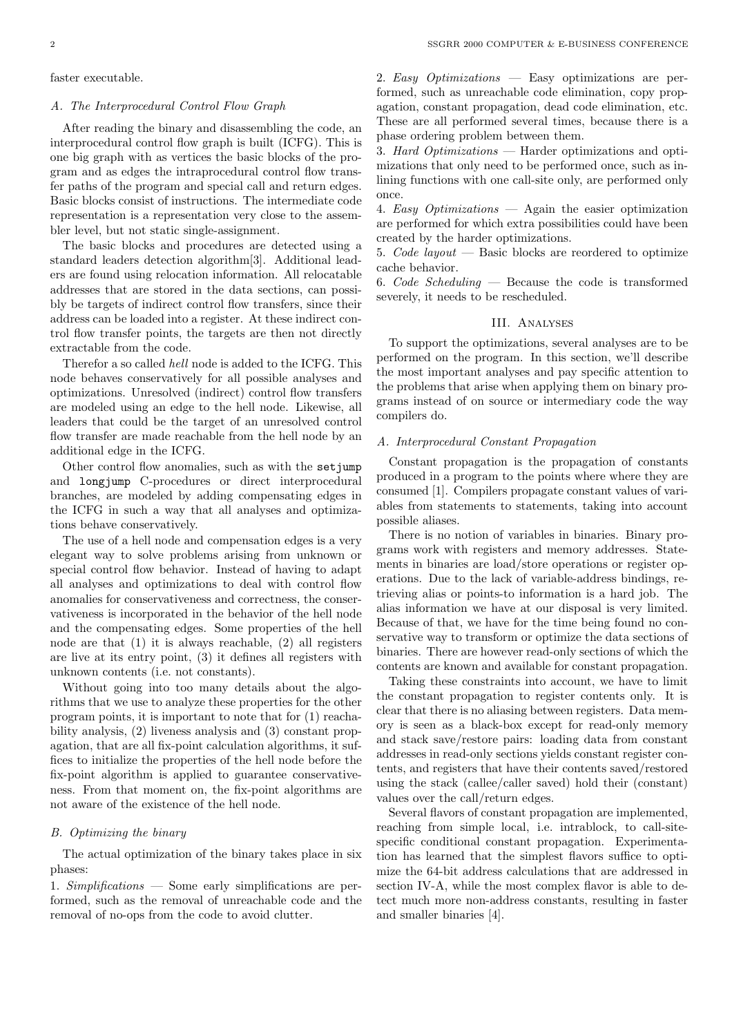faster executable.

#### A. The Interprocedural Control Flow Graph

After reading the binary and disassembling the code, an interprocedural control flow graph is built (ICFG). This is one big graph with as vertices the basic blocks of the program and as edges the intraprocedural control flow transfer paths of the program and special call and return edges. Basic blocks consist of instructions. The intermediate code representation is a representation very close to the assembler level, but not static single-assignment.

The basic blocks and procedures are detected using a standard leaders detection algorithm[3]. Additional leaders are found using relocation information. All relocatable addresses that are stored in the data sections, can possibly be targets of indirect control flow transfers, since their address can be loaded into a register. At these indirect control flow transfer points, the targets are then not directly extractable from the code.

Therefor a so called hell node is added to the ICFG. This node behaves conservatively for all possible analyses and optimizations. Unresolved (indirect) control flow transfers are modeled using an edge to the hell node. Likewise, all leaders that could be the target of an unresolved control flow transfer are made reachable from the hell node by an additional edge in the ICFG.

Other control flow anomalies, such as with the setjump and longjump C-procedures or direct interprocedural branches, are modeled by adding compensating edges in the ICFG in such a way that all analyses and optimizations behave conservatively.

The use of a hell node and compensation edges is a very elegant way to solve problems arising from unknown or special control flow behavior. Instead of having to adapt all analyses and optimizations to deal with control flow anomalies for conservativeness and correctness, the conservativeness is incorporated in the behavior of the hell node and the compensating edges. Some properties of the hell node are that (1) it is always reachable, (2) all registers are live at its entry point, (3) it defines all registers with unknown contents (i.e. not constants).

Without going into too many details about the algorithms that we use to analyze these properties for the other program points, it is important to note that for (1) reachability analysis, (2) liveness analysis and (3) constant propagation, that are all fix-point calculation algorithms, it suffices to initialize the properties of the hell node before the fix-point algorithm is applied to guarantee conservativeness. From that moment on, the fix-point algorithms are not aware of the existence of the hell node.

# B. Optimizing the binary

The actual optimization of the binary takes place in six phases:

1. Simplifications — Some early simplifications are performed, such as the removal of unreachable code and the removal of no-ops from the code to avoid clutter.

2. Easy Optimizations — Easy optimizations are performed, such as unreachable code elimination, copy propagation, constant propagation, dead code elimination, etc. These are all performed several times, because there is a phase ordering problem between them.

3. Hard Optimizations — Harder optimizations and optimizations that only need to be performed once, such as inlining functions with one call-site only, are performed only once.

4. Easy Optimizations — Again the easier optimization are performed for which extra possibilities could have been created by the harder optimizations.

5. Code layout — Basic blocks are reordered to optimize cache behavior.

6. Code Scheduling — Because the code is transformed severely, it needs to be rescheduled.

### III. Analyses

To support the optimizations, several analyses are to be performed on the program. In this section, we'll describe the most important analyses and pay specific attention to the problems that arise when applying them on binary programs instead of on source or intermediary code the way compilers do.

#### A. Interprocedural Constant Propagation

Constant propagation is the propagation of constants produced in a program to the points where where they are consumed [1]. Compilers propagate constant values of variables from statements to statements, taking into account possible aliases.

There is no notion of variables in binaries. Binary programs work with registers and memory addresses. Statements in binaries are load/store operations or register operations. Due to the lack of variable-address bindings, retrieving alias or points-to information is a hard job. The alias information we have at our disposal is very limited. Because of that, we have for the time being found no conservative way to transform or optimize the data sections of binaries. There are however read-only sections of which the contents are known and available for constant propagation.

Taking these constraints into account, we have to limit the constant propagation to register contents only. It is clear that there is no aliasing between registers. Data memory is seen as a black-box except for read-only memory and stack save/restore pairs: loading data from constant addresses in read-only sections yields constant register contents, and registers that have their contents saved/restored using the stack (callee/caller saved) hold their (constant) values over the call/return edges.

Several flavors of constant propagation are implemented, reaching from simple local, i.e. intrablock, to call-sitespecific conditional constant propagation. Experimentation has learned that the simplest flavors suffice to optimize the 64-bit address calculations that are addressed in section IV-A, while the most complex flavor is able to detect much more non-address constants, resulting in faster and smaller binaries [4].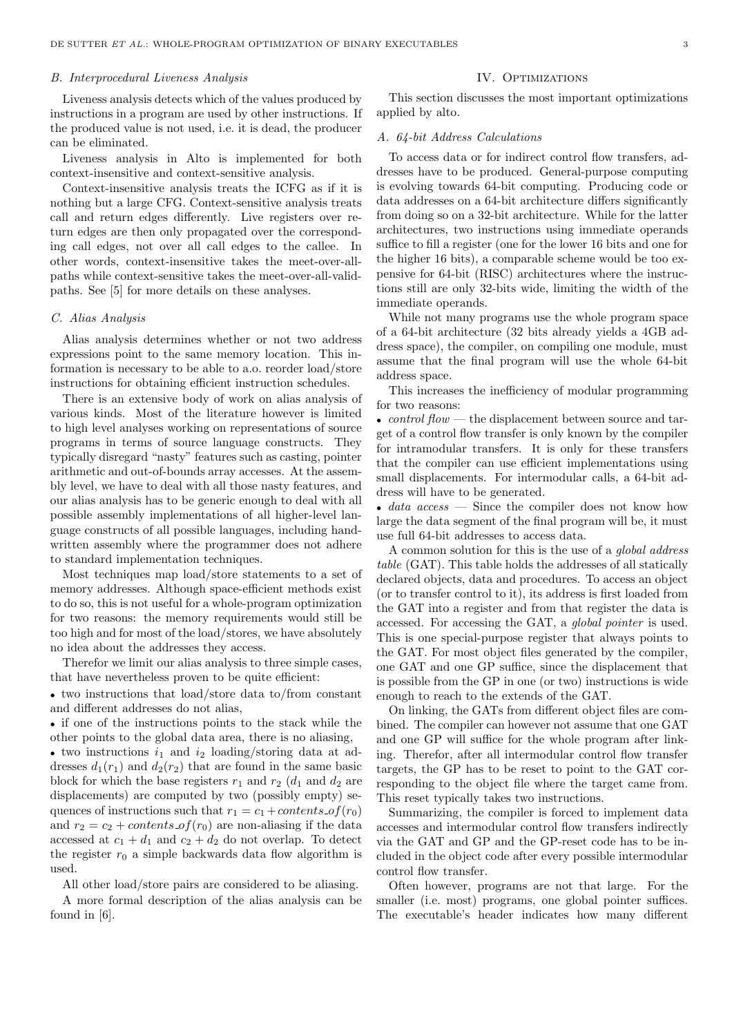#### B. Interprocedural Liveness Analysis

Liveness analysis detects which of the values produced by instructions in a program are used by other instructions. If the produced value is not used, i.e. it is dead, the producer can be eliminated.

Liveness analysis in Alto is implemented for both context-insensitive and context-sensitive analysis.

Context-insensitive analysis treats the ICFG as if it is nothing but a large CFG. Context-sensitive analysis treats call and return edges differently. Live registers over return edges are then only propagated over the corresponding call edges, not over all call edges to the callee. In other words, context-insensitive takes the meet-over-allpaths while context-sensitive takes the meet-over-all-validpaths. See [5] for more details on these analyses.

#### C. Alias Analysis

Alias analysis determines whether or not two address expressions point to the same memory location. This information is necessary to be able to a.o. reorder load/store instructions for obtaining efficient instruction schedules.

There is an extensive body of work on alias analysis of various kinds. Most of the literature however is limited to high level analyses working on representations of source programs in terms of source language constructs. They typically disregard "nasty" features such as casting, pointer arithmetic and out-of-bounds array accesses. At the assembly level, we have to deal with all those nasty features, and our alias analysis has to be generic enough to deal with all possible assembly implementations of all higher-level language constructs of all possible languages, including handwritten assembly where the programmer does not adhere to standard implementation techniques.

Most techniques map load/store statements to a set of memory addresses. Although space-efficient methods exist to do so, this is not useful for a whole-program optimization for two reasons: the memory requirements would still be too high and for most of the load/stores, we have absolutely no idea about the addresses they access.

Therefor we limit our alias analysis to three simple cases, that have nevertheless proven to be quite efficient:

• two instructions that load/store data to/from constant and different addresses do not alias,

• if one of the instructions points to the stack while the other points to the global data area, there is no aliasing,

• two instructions  $i_1$  and  $i_2$  loading/storing data at addresses  $d_1(r_1)$  and  $d_2(r_2)$  that are found in the same basic block for which the base registers  $r_1$  and  $r_2$  ( $d_1$  and  $d_2$  are displacements) are computed by two (possibly empty) sequences of instructions such that  $r_1 = c_1 + contents$  of  $(r_0)$ and  $r_2 = c_2 + contents\_of(r_0)$  are non-aliasing if the data accessed at  $c_1 + d_1$  and  $c_2 + d_2$  do not overlap. To detect the register  $r_0$  a simple backwards data flow algorithm is used.

All other load/store pairs are considered to be aliasing.

A more formal description of the alias analysis can be found in [6].

# IV. OPTIMIZATIONS

This section discusses the most important optimizations applied by alto.

#### A. 64-bit Address Calculations

To access data or for indirect control flow transfers, addresses have to be produced. General-purpose computing is evolving towards 64-bit computing. Producing code or data addresses on a 64-bit architecture differs significantly from doing so on a 32-bit architecture. While for the latter architectures, two instructions using immediate operands suffice to fill a register (one for the lower 16 bits and one for the higher 16 bits), a comparable scheme would be too expensive for 64-bit (RISC) architectures where the instructions still are only 32-bits wide, limiting the width of the immediate operands.

While not many programs use the whole program space of a 64-bit architecture (32 bits already yields a 4GB address space), the compiler, on compiling one module, must assume that the final program will use the whole 64-bit address space.

This increases the inefficiency of modular programming for two reasons:

• control  $flow$  — the displacement between source and target of a control flow transfer is only known by the compiler for intramodular transfers. It is only for these transfers that the compiler can use efficient implementations using small displacements. For intermodular calls, a 64-bit address will have to be generated.

• data  $access$  — Since the compiler does not know how large the data segment of the final program will be, it must use full 64-bit addresses to access data.

A common solution for this is the use of a global address table (GAT). This table holds the addresses of all statically declared objects, data and procedures. To access an object (or to transfer control to it), its address is first loaded from the GAT into a register and from that register the data is accessed. For accessing the GAT, a global pointer is used. This is one special-purpose register that always points to the GAT. For most object files generated by the compiler, one GAT and one GP suffice, since the displacement that is possible from the GP in one (or two) instructions is wide enough to reach to the extends of the GAT.

On linking, the GATs from different object files are combined. The compiler can however not assume that one GAT and one GP will suffice for the whole program after linking. Therefor, after all intermodular control flow transfer targets, the GP has to be reset to point to the GAT corresponding to the object file where the target came from. This reset typically takes two instructions.

Summarizing, the compiler is forced to implement data accesses and intermodular control flow transfers indirectly via the GAT and GP and the GP-reset code has to be included in the object code after every possible intermodular control flow transfer.

Often however, programs are not that large. For the smaller (i.e. most) programs, one global pointer suffices. The executable's header indicates how many different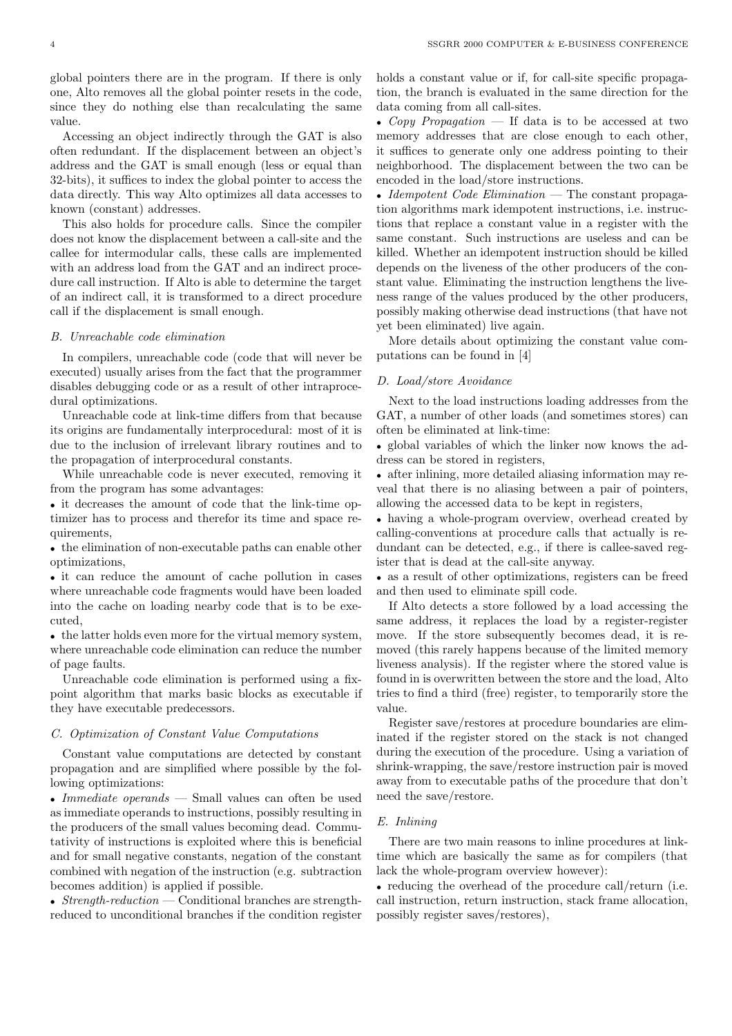global pointers there are in the program. If there is only one, Alto removes all the global pointer resets in the code, since they do nothing else than recalculating the same value.

Accessing an object indirectly through the GAT is also often redundant. If the displacement between an object's address and the GAT is small enough (less or equal than 32-bits), it suffices to index the global pointer to access the data directly. This way Alto optimizes all data accesses to known (constant) addresses.

This also holds for procedure calls. Since the compiler does not know the displacement between a call-site and the callee for intermodular calls, these calls are implemented with an address load from the GAT and an indirect procedure call instruction. If Alto is able to determine the target of an indirect call, it is transformed to a direct procedure call if the displacement is small enough.

#### B. Unreachable code elimination

In compilers, unreachable code (code that will never be executed) usually arises from the fact that the programmer disables debugging code or as a result of other intraprocedural optimizations.

Unreachable code at link-time differs from that because its origins are fundamentally interprocedural: most of it is due to the inclusion of irrelevant library routines and to the propagation of interprocedural constants.

While unreachable code is never executed, removing it from the program has some advantages:

• it decreases the amount of code that the link-time optimizer has to process and therefor its time and space requirements,

• the elimination of non-executable paths can enable other optimizations,

• it can reduce the amount of cache pollution in cases where unreachable code fragments would have been loaded into the cache on loading nearby code that is to be executed,

• the latter holds even more for the virtual memory system, where unreachable code elimination can reduce the number of page faults.

Unreachable code elimination is performed using a fixpoint algorithm that marks basic blocks as executable if they have executable predecessors.

#### C. Optimization of Constant Value Computations

Constant value computations are detected by constant propagation and are simplified where possible by the following optimizations:

• *Immediate operands* — Small values can often be used as immediate operands to instructions, possibly resulting in the producers of the small values becoming dead. Commutativity of instructions is exploited where this is beneficial and for small negative constants, negation of the constant combined with negation of the instruction (e.g. subtraction becomes addition) is applied if possible.

• Strength-reduction — Conditional branches are strengthreduced to unconditional branches if the condition register holds a constant value or if, for call-site specific propagation, the branch is evaluated in the same direction for the data coming from all call-sites.

• Copy Propagation — If data is to be accessed at two memory addresses that are close enough to each other, it suffices to generate only one address pointing to their neighborhood. The displacement between the two can be encoded in the load/store instructions.

• Idempotent Code Elimination — The constant propagation algorithms mark idempotent instructions, i.e. instructions that replace a constant value in a register with the same constant. Such instructions are useless and can be killed. Whether an idempotent instruction should be killed depends on the liveness of the other producers of the constant value. Eliminating the instruction lengthens the liveness range of the values produced by the other producers, possibly making otherwise dead instructions (that have not yet been eliminated) live again.

More details about optimizing the constant value computations can be found in [4]

#### D. Load/store Avoidance

Next to the load instructions loading addresses from the GAT, a number of other loads (and sometimes stores) can often be eliminated at link-time:

• global variables of which the linker now knows the address can be stored in registers,

• after inlining, more detailed aliasing information may reveal that there is no aliasing between a pair of pointers, allowing the accessed data to be kept in registers,

• having a whole-program overview, overhead created by calling-conventions at procedure calls that actually is redundant can be detected, e.g., if there is callee-saved register that is dead at the call-site anyway.

• as a result of other optimizations, registers can be freed and then used to eliminate spill code.

If Alto detects a store followed by a load accessing the same address, it replaces the load by a register-register move. If the store subsequently becomes dead, it is removed (this rarely happens because of the limited memory liveness analysis). If the register where the stored value is found in is overwritten between the store and the load, Alto tries to find a third (free) register, to temporarily store the value.

Register save/restores at procedure boundaries are eliminated if the register stored on the stack is not changed during the execution of the procedure. Using a variation of shrink-wrapping, the save/restore instruction pair is moved away from to executable paths of the procedure that don't need the save/restore.

## E. Inlining

There are two main reasons to inline procedures at linktime which are basically the same as for compilers (that lack the whole-program overview however):

• reducing the overhead of the procedure call/return (i.e. call instruction, return instruction, stack frame allocation, possibly register saves/restores),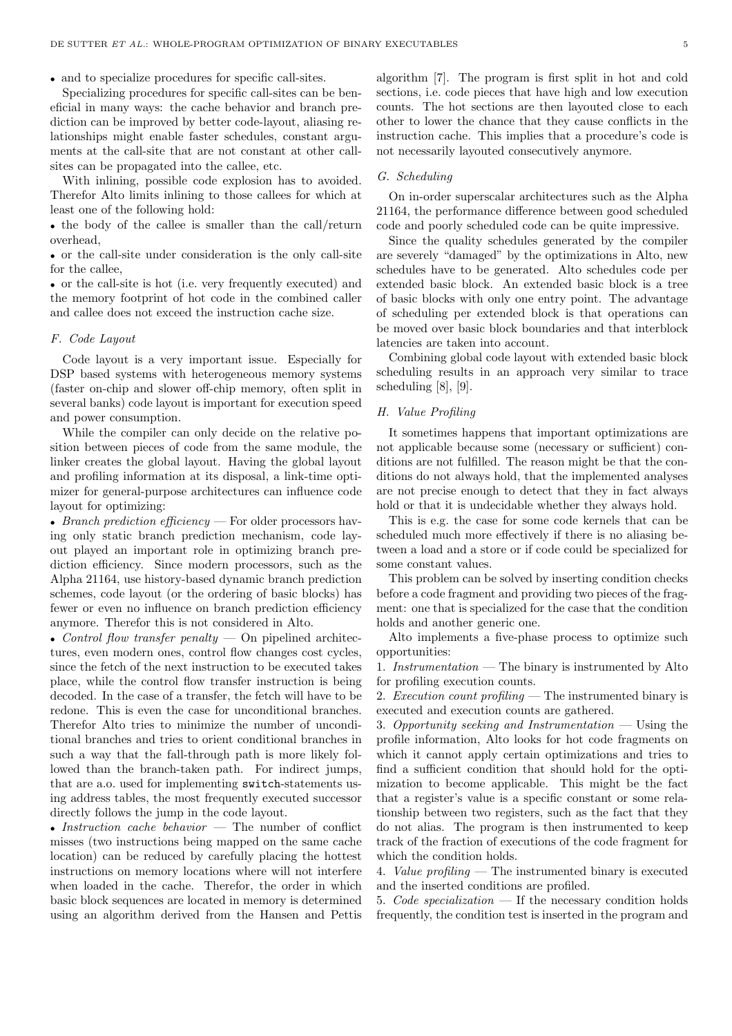• and to specialize procedures for specific call-sites.

Specializing procedures for specific call-sites can be beneficial in many ways: the cache behavior and branch prediction can be improved by better code-layout, aliasing relationships might enable faster schedules, constant arguments at the call-site that are not constant at other callsites can be propagated into the callee, etc.

With inlining, possible code explosion has to avoided. Therefor Alto limits inlining to those callees for which at least one of the following hold:

• the body of the callee is smaller than the call/return overhead,

• or the call-site under consideration is the only call-site for the callee,

• or the call-site is hot (i.e. very frequently executed) and the memory footprint of hot code in the combined caller and callee does not exceed the instruction cache size.

## F. Code Layout

Code layout is a very important issue. Especially for DSP based systems with heterogeneous memory systems (faster on-chip and slower off-chip memory, often split in several banks) code layout is important for execution speed and power consumption.

While the compiler can only decide on the relative position between pieces of code from the same module, the linker creates the global layout. Having the global layout and profiling information at its disposal, a link-time optimizer for general-purpose architectures can influence code layout for optimizing:

• Branch prediction efficiency — For older processors having only static branch prediction mechanism, code layout played an important role in optimizing branch prediction efficiency. Since modern processors, such as the Alpha 21164, use history-based dynamic branch prediction schemes, code layout (or the ordering of basic blocks) has fewer or even no influence on branch prediction efficiency anymore. Therefor this is not considered in Alto.

• Control flow transfer penalty  $-$  On pipelined architectures, even modern ones, control flow changes cost cycles, since the fetch of the next instruction to be executed takes place, while the control flow transfer instruction is being decoded. In the case of a transfer, the fetch will have to be redone. This is even the case for unconditional branches. Therefor Alto tries to minimize the number of unconditional branches and tries to orient conditional branches in such a way that the fall-through path is more likely followed than the branch-taken path. For indirect jumps, that are a.o. used for implementing switch-statements using address tables, the most frequently executed successor directly follows the jump in the code layout.

• Instruction cache behavior  $-$  The number of conflict misses (two instructions being mapped on the same cache location) can be reduced by carefully placing the hottest instructions on memory locations where will not interfere when loaded in the cache. Therefor, the order in which basic block sequences are located in memory is determined using an algorithm derived from the Hansen and Pettis

algorithm [7]. The program is first split in hot and cold sections, i.e. code pieces that have high and low execution counts. The hot sections are then layouted close to each other to lower the chance that they cause conflicts in the instruction cache. This implies that a procedure's code is not necessarily layouted consecutively anymore.

#### G. Scheduling

On in-order superscalar architectures such as the Alpha 21164, the performance difference between good scheduled code and poorly scheduled code can be quite impressive.

Since the quality schedules generated by the compiler are severely "damaged" by the optimizations in Alto, new schedules have to be generated. Alto schedules code per extended basic block. An extended basic block is a tree of basic blocks with only one entry point. The advantage of scheduling per extended block is that operations can be moved over basic block boundaries and that interblock latencies are taken into account.

Combining global code layout with extended basic block scheduling results in an approach very similar to trace scheduling [8], [9].

## H. Value Profiling

It sometimes happens that important optimizations are not applicable because some (necessary or sufficient) conditions are not fulfilled. The reason might be that the conditions do not always hold, that the implemented analyses are not precise enough to detect that they in fact always hold or that it is undecidable whether they always hold.

This is e.g. the case for some code kernels that can be scheduled much more effectively if there is no aliasing between a load and a store or if code could be specialized for some constant values.

This problem can be solved by inserting condition checks before a code fragment and providing two pieces of the fragment: one that is specialized for the case that the condition holds and another generic one.

Alto implements a five-phase process to optimize such opportunities:

1. Instrumentation — The binary is instrumented by Alto for profiling execution counts.

2. Execution count profiling — The instrumented binary is executed and execution counts are gathered.

3. Opportunity seeking and Instrumentation  $-$  Using the profile information, Alto looks for hot code fragments on which it cannot apply certain optimizations and tries to find a sufficient condition that should hold for the optimization to become applicable. This might be the fact that a register's value is a specific constant or some relationship between two registers, such as the fact that they do not alias. The program is then instrumented to keep track of the fraction of executions of the code fragment for which the condition holds.

4. Value profiling — The instrumented binary is executed and the inserted conditions are profiled.

5. Code specialization  $\overline{\phantom{a}}$  If the necessary condition holds frequently, the condition test is inserted in the program and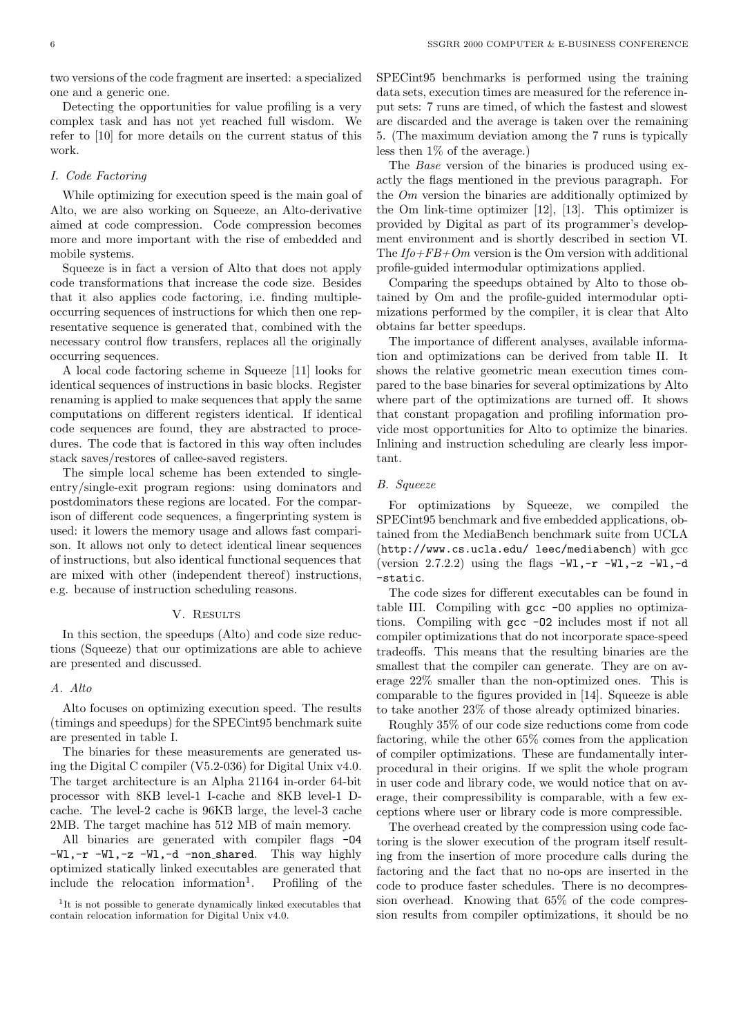two versions of the code fragment are inserted: a specialized one and a generic one.

Detecting the opportunities for value profiling is a very complex task and has not yet reached full wisdom. We refer to [10] for more details on the current status of this work.

# I. Code Factoring

While optimizing for execution speed is the main goal of Alto, we are also working on Squeeze, an Alto-derivative aimed at code compression. Code compression becomes more and more important with the rise of embedded and mobile systems.

Squeeze is in fact a version of Alto that does not apply code transformations that increase the code size. Besides that it also applies code factoring, i.e. finding multipleoccurring sequences of instructions for which then one representative sequence is generated that, combined with the necessary control flow transfers, replaces all the originally occurring sequences.

A local code factoring scheme in Squeeze [11] looks for identical sequences of instructions in basic blocks. Register renaming is applied to make sequences that apply the same computations on different registers identical. If identical code sequences are found, they are abstracted to procedures. The code that is factored in this way often includes stack saves/restores of callee-saved registers.

The simple local scheme has been extended to singleentry/single-exit program regions: using dominators and postdominators these regions are located. For the comparison of different code sequences, a fingerprinting system is used: it lowers the memory usage and allows fast comparison. It allows not only to detect identical linear sequences of instructions, but also identical functional sequences that are mixed with other (independent thereof) instructions, e.g. because of instruction scheduling reasons.

#### V. RESULTS

In this section, the speedups (Alto) and code size reductions (Squeeze) that our optimizations are able to achieve are presented and discussed.

## A. Alto

Alto focuses on optimizing execution speed. The results (timings and speedups) for the SPECint95 benchmark suite are presented in table I.

The binaries for these measurements are generated using the Digital C compiler (V5.2-036) for Digital Unix v4.0. The target architecture is an Alpha 21164 in-order 64-bit processor with 8KB level-1 I-cache and 8KB level-1 Dcache. The level-2 cache is 96KB large, the level-3 cache 2MB. The target machine has 512 MB of main memory.

All binaries are generated with compiler flags -O4 -Wl,-r -Wl,-z -Wl,-d -non shared. This way highly optimized statically linked executables are generated that include the relocation information<sup>1</sup>. . Profiling of the SPECint95 benchmarks is performed using the training data sets, execution times are measured for the reference input sets: 7 runs are timed, of which the fastest and slowest are discarded and the average is taken over the remaining 5. (The maximum deviation among the 7 runs is typically less then 1% of the average.)

The Base version of the binaries is produced using exactly the flags mentioned in the previous paragraph. For the Om version the binaries are additionally optimized by the Om link-time optimizer [12], [13]. This optimizer is provided by Digital as part of its programmer's development environment and is shortly described in section VI. The  $If o + FB + Om$  version is the Om version with additional profile-guided intermodular optimizations applied.

Comparing the speedups obtained by Alto to those obtained by Om and the profile-guided intermodular optimizations performed by the compiler, it is clear that Alto obtains far better speedups.

The importance of different analyses, available information and optimizations can be derived from table II. It shows the relative geometric mean execution times compared to the base binaries for several optimizations by Alto where part of the optimizations are turned off. It shows that constant propagation and profiling information provide most opportunities for Alto to optimize the binaries. Inlining and instruction scheduling are clearly less important.

### B. Squeeze

For optimizations by Squeeze, we compiled the SPECint95 benchmark and five embedded applications, obtained from the MediaBench benchmark suite from UCLA (http://www.cs.ucla.edu/ leec/mediabench) with gcc (version 2.7.2.2) using the flags  $-W1, -r$   $-W1, -z$   $-W1, -d$ -static.

The code sizes for different executables can be found in table III. Compiling with gcc -O0 applies no optimizations. Compiling with gcc -O2 includes most if not all compiler optimizations that do not incorporate space-speed tradeoffs. This means that the resulting binaries are the smallest that the compiler can generate. They are on average 22% smaller than the non-optimized ones. This is comparable to the figures provided in [14]. Squeeze is able to take another 23% of those already optimized binaries.

Roughly 35% of our code size reductions come from code factoring, while the other 65% comes from the application of compiler optimizations. These are fundamentally interprocedural in their origins. If we split the whole program in user code and library code, we would notice that on average, their compressibility is comparable, with a few exceptions where user or library code is more compressible.

The overhead created by the compression using code factoring is the slower execution of the program itself resulting from the insertion of more procedure calls during the factoring and the fact that no no-ops are inserted in the code to produce faster schedules. There is no decompression overhead. Knowing that 65% of the code compression results from compiler optimizations, it should be no

<sup>&</sup>lt;sup>1</sup>It is not possible to generate dynamically linked executables that contain relocation information for Digital Unix v4.0.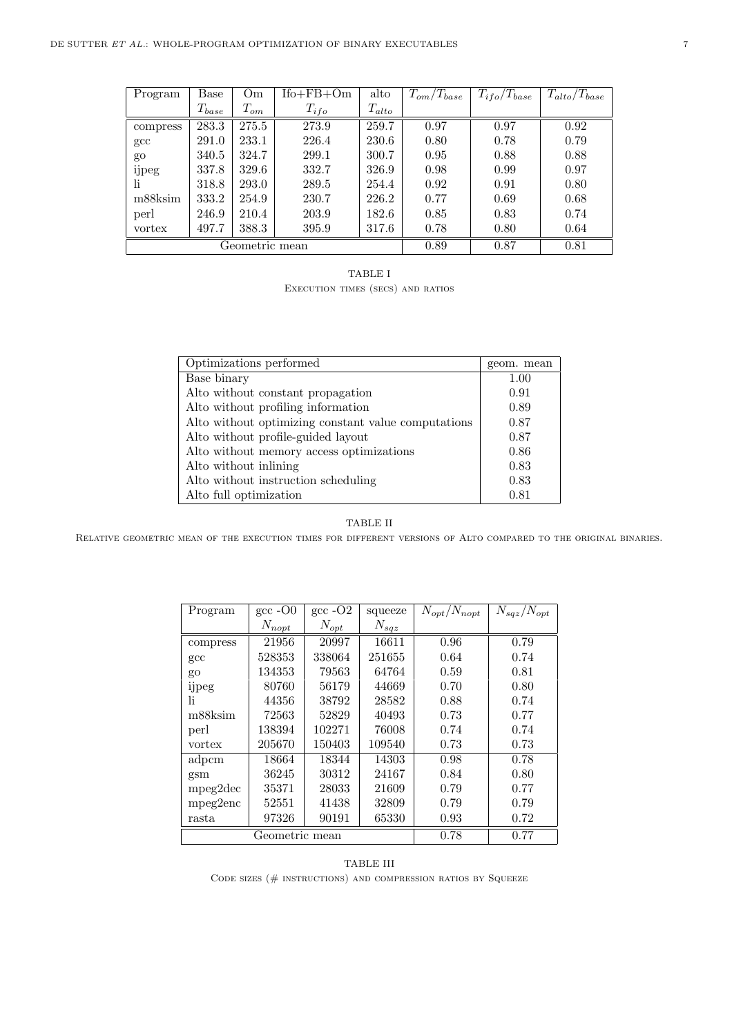| Program        | Base       | Om       | $Ifo + FB + Om$ | alto       | $T_{om}/T_{base}$ | $T_{ifo}/T_{base}$ | $T_{alto}/T_{base}$ |
|----------------|------------|----------|-----------------|------------|-------------------|--------------------|---------------------|
|                | $T_{base}$ | $T_{om}$ | $T_{ifo}$       | $T_{alto}$ |                   |                    |                     |
| compress       | 283.3      | 275.5    | 273.9           | 259.7      | 0.97              | 0.97               | 0.92                |
| $_{\rm gcc}$   | 291.0      | 233.1    | 226.4           | 230.6      | 0.80              | 0.78               | 0.79                |
| go             | 340.5      | 324.7    | 299.1           | 300.7      | 0.95              | 0.88               | 0.88                |
| ijpeg          | 337.8      | 329.6    | 332.7           | 326.9      | 0.98              | 0.99               | 0.97                |
| li.            | 318.8      | 293.0    | 289.5           | 254.4      | 0.92              | 0.91               | 0.80                |
| m88ksim        | 333.2      | 254.9    | 230.7           | 226.2      | 0.77              | 0.69               | 0.68                |
| perl           | 246.9      | 210.4    | 203.9           | 182.6      | 0.85              | 0.83               | 0.74                |
| vortex         | 497.7      | 388.3    | 395.9           | 317.6      | 0.78              | 0.80               | 0.64                |
| Geometric mean |            |          |                 | 0.89       | 0.87              | 0.81               |                     |

TABLE I Execution times (secs) and ratios

| Optimizations performed                             | geom. mean |
|-----------------------------------------------------|------------|
| Base binary                                         | 1.00       |
| Alto without constant propagation                   | 0.91       |
| Alto without profiling information                  | 0.89       |
| Alto without optimizing constant value computations | 0.87       |
| Alto without profile-guided layout                  | 0.87       |
| Alto without memory access optimizations            | 0.86       |
| Alto without inlining                               | 0.83       |
| Alto without instruction scheduling                 | 0.83       |
| Alto full optimization                              | 0.81       |

# TABLE II

Relative geometric mean of the execution times for different versions of Alto compared to the original binaries.

| Program        | $\rm gcc$ -O0 | $\rm gcc$ -O <sub>2</sub> | squeeze   | $N_{opt}/N_{nopt}$ | $N_{sqz}/N_{opt}$ |
|----------------|---------------|---------------------------|-----------|--------------------|-------------------|
|                | $N_{nopt}$    | $N_{opt}$                 | $N_{sqz}$ |                    |                   |
| compress       | 21956         | 20997                     | 16611     | 0.96               | 0.79              |
| $_{\rm gcc}$   | 528353        | 338064                    | 251655    | 0.64               | 0.74              |
| go             | 134353        | 79563                     | 64764     | 0.59               | 0.81              |
| ijpeg          | 80760         | 56179                     | 44669     | 0.70               | 0.80              |
| 1i             | 44356         | 38792                     | 28582     | 0.88               | 0.74              |
| m88ksim        | 72563         | 52829                     | 40493     | 0.73               | 0.77              |
| perl           | 138394        | 102271                    | 76008     | 0.74               | 0.74              |
| vortex         | 205670        | 150403                    | 109540    | 0.73               | 0.73              |
| adpcm          | 18664         | 18344                     | 14303     | 0.98               | 0.78              |
| gsm            | 36245         | 30312                     | 24167     | 0.84               | 0.80              |
| mpeg2dec       | 35371         | 28033                     | 21609     | 0.79               | 0.77              |
| mpeg2enc       | 52551         | 41438                     | 32809     | 0.79               | 0.79              |
| rasta          | 97326         | 90191                     | 65330     | 0.93               | 0.72              |
| Geometric mean |               |                           |           | 0.78               | 0.77              |

TABLE III CODE SIZES ( $\#$  INSTRUCTIONS) AND COMPRESSION RATIOS BY SQUEEZE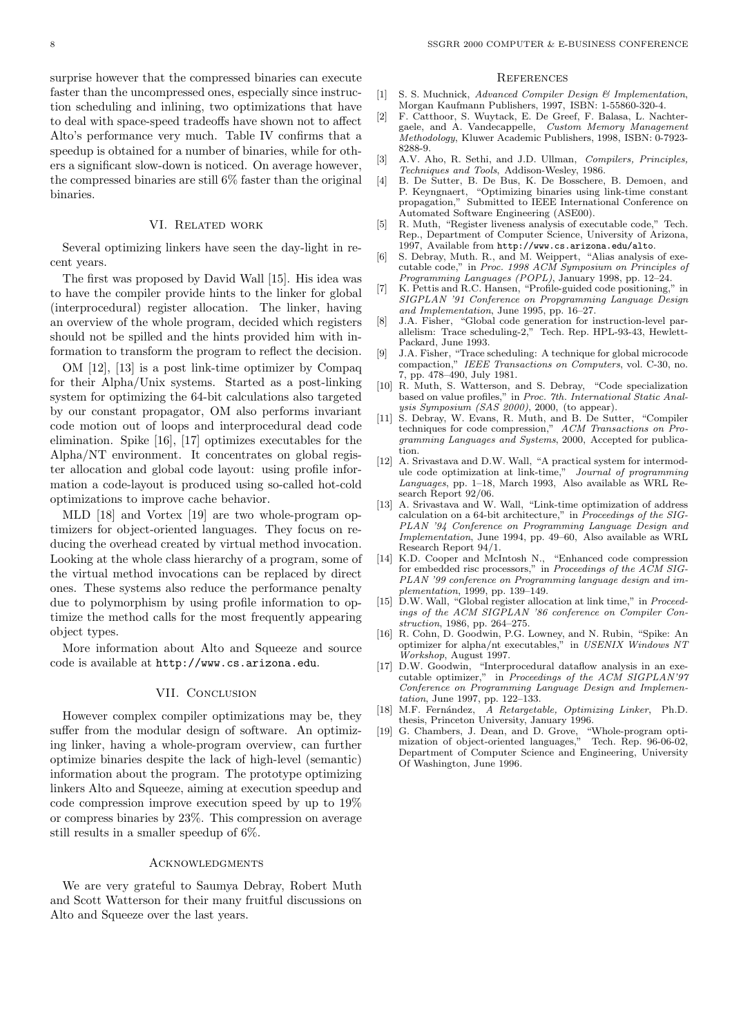surprise however that the compressed binaries can execute faster than the uncompressed ones, especially since instruction scheduling and inlining, two optimizations that have to deal with space-speed tradeoffs have shown not to affect Alto's performance very much. Table IV confirms that a speedup is obtained for a number of binaries, while for others a significant slow-down is noticed. On average however, the compressed binaries are still 6% faster than the original binaries.

## VI. Related work

Several optimizing linkers have seen the day-light in recent years.

The first was proposed by David Wall [15]. His idea was to have the compiler provide hints to the linker for global (interprocedural) register allocation. The linker, having an overview of the whole program, decided which registers should not be spilled and the hints provided him with information to transform the program to reflect the decision.

OM [12], [13] is a post link-time optimizer by Compaq for their Alpha/Unix systems. Started as a post-linking system for optimizing the 64-bit calculations also targeted by our constant propagator, OM also performs invariant code motion out of loops and interprocedural dead code elimination. Spike [16], [17] optimizes executables for the Alpha/NT environment. It concentrates on global register allocation and global code layout: using profile information a code-layout is produced using so-called hot-cold optimizations to improve cache behavior.

MLD [18] and Vortex [19] are two whole-program optimizers for object-oriented languages. They focus on reducing the overhead created by virtual method invocation. Looking at the whole class hierarchy of a program, some of the virtual method invocations can be replaced by direct ones. These systems also reduce the performance penalty due to polymorphism by using profile information to optimize the method calls for the most frequently appearing object types.

More information about Alto and Squeeze and source code is available at http://www.cs.arizona.edu.

## VII. Conclusion

However complex compiler optimizations may be, they suffer from the modular design of software. An optimizing linker, having a whole-program overview, can further optimize binaries despite the lack of high-level (semantic) information about the program. The prototype optimizing linkers Alto and Squeeze, aiming at execution speedup and code compression improve execution speed by up to 19% or compress binaries by 23%. This compression on average still results in a smaller speedup of 6%.

#### **ACKNOWLEDGMENTS**

We are very grateful to Saumya Debray, Robert Muth and Scott Watterson for their many fruitful discussions on Alto and Squeeze over the last years.

#### **REFERENCES**

- [1] S. S. Muchnick, Advanced Compiler Design & Implementation, Morgan Kaufmann Publishers, 1997, ISBN: 1-55860-320-4.
- [2] F. Catthoor, S. Wuytack, E. De Greef, F. Balasa, L. Nachtergaele, and A. Vandecappelle, Custom Memory Management Methodology, Kluwer Academic Publishers, 1998, ISBN: 0-7923- 8288-9.
- [3] A.V. Aho, R. Sethi, and J.D. Ullman, Compilers, Principles, Techniques and Tools, Addison-Wesley, 1986.
- [4] B. De Sutter, B. De Bus, K. De Bosschere, B. Demoen, and P. Keyngnaert, "Optimizing binaries using link-time constant propagation," Submitted to IEEE International Conference on Automated Software Engineering (ASE00).
- [5] R. Muth, "Register liveness analysis of executable code," Tech. Rep., Department of Computer Science, University of Arizona, 1997, Available from http://www.cs.arizona.edu/alto.
- [6] S. Debray, Muth. R., and M. Weippert, "Alias analysis of executable code," in Proc. 1998 ACM Symposium on Principles of Programming Languages (POPL), January 1998, pp. 12–24.
- [7] K. Pettis and R.C. Hansen, "Profile-guided code positioning," in SIGPLAN '91 Conference on Propgramming Language Design and Implementation, June 1995, pp. 16–27.
- [8] J.A. Fisher, "Global code generation for instruction-level parallelism: Trace scheduling-2," Tech. Rep. HPL-93-43, Hewlett-Packard, June 1993.
- [9] J.A. Fisher, "Trace scheduling: A technique for global microcode compaction," IEEE Transactions on Computers, vol. C-30, no. 7, pp. 478–490, July 1981.
- [10] R. Muth, S. Watterson, and S. Debray, "Code specialization based on value profiles," in Proc. 7th. International Static Analysis Symposium  $(SAS 2000)$ , 2000, (to appear).
- [11] S. Debray, W. Evans, R. Muth, and B. De Sutter, "Compiler techniques for code compression," ACM Transactions on Programming Languages and Systems, 2000, Accepted for publication.
- [12] A. Srivastava and D.W. Wall, "A practical system for intermodule code optimization at link-time," Journal of programming Languages, pp. 1–18, March 1993, Also available as WRL Research Report 92/06.
- [13] A. Srivastava and W. Wall, "Link-time optimization of address calculation on a 64-bit architecture," in Proceedings of the SIG-PLAN '94 Conference on Programming Language Design and Implementation, June 1994, pp. 49–60, Also available as WRL Research Report 94/1.
- [14] K.D. Cooper and McIntosh N., "Enhanced code compression for embedded risc processors," in Proceedings of the ACM SIG-PLAN '99 conference on Programming language design and implementation, 1999, pp. 139–149.
- [15] D.W. Wall, "Global register allocation at link time," in Proceedings of the ACM SIGPLAN '86 conference on Compiler Construction, 1986, pp. 264–275.
- [16] R. Cohn, D. Goodwin, P.G. Lowney, and N. Rubin, "Spike: An optimizer for alpha/nt executables," in USENIX Windows NT Workshop, August 1997.
- [17] D.W. Goodwin, "Interprocedural dataflow analysis in an executable optimizer," in Proceedings of the ACM SIGPLAN'97 Conference on Programming Language Design and Implementation, June 1997, pp. 122–133.
- [18] M.F. Fernández, A Retargetable, Optimizing Linker, Ph.D. thesis, Princeton University, January 1996.
- [19] G. Chambers, J. Dean, and D. Grove, "Whole-program optimization of object-oriented languages," Tech. Rep. 96-06-02, Department of Computer Science and Engineering, University Of Washington, June 1996.